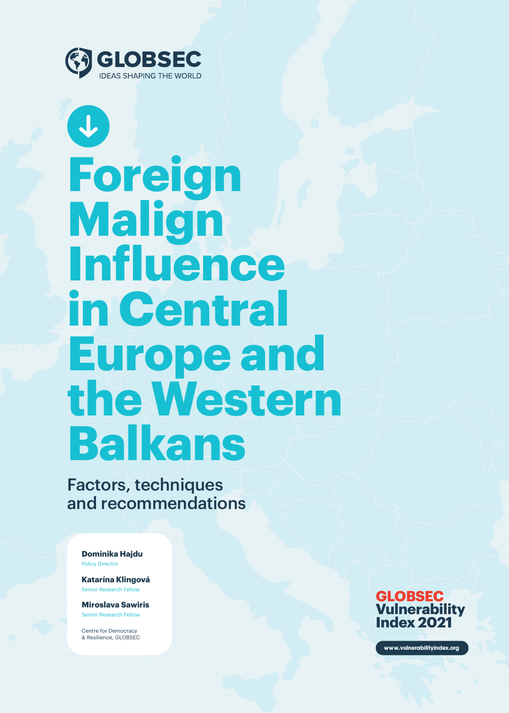

 $\left| \downarrow \right\rangle$ 

# **Foreign Malign Influence in Central Europe and the Western Balkans**

Factors, techniques and recommendations

Policy Director **Dominika Hajdu**

Senior Research Fellow **Katarína Klingová**

Senior Research Fellow **Miroslava Sawiris**

Centre for Democracy & Resilience, GLOBSEC



www.vulnerabilityindex.org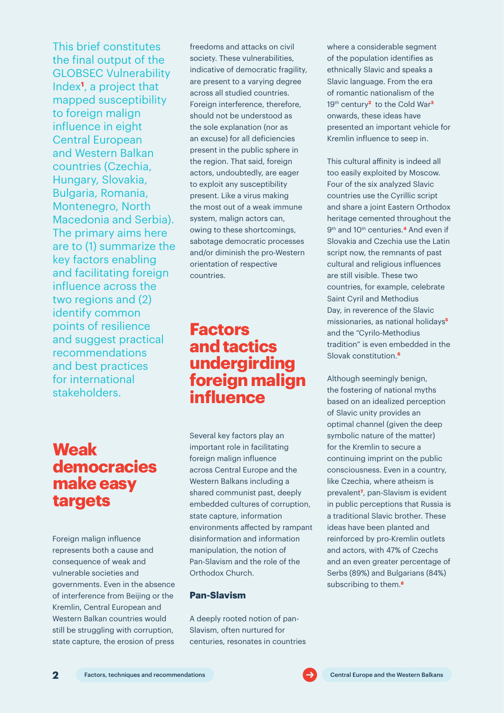This brief constitutes the final output of the GLOBSEC Vulnerability Index**<sup>1</sup>** , a project that mapped susceptibility to foreign malign influence in eight Central European and Western Balkan countries (Czechia, Hungary, Slovakia, Bulgaria, Romania, Montenegro, North Macedonia and Serbia). The primary aims here are to (1) summarize the key factors enabling and facilitating foreign influence across the two regions and (2) identify common points of resilience and suggest practical recommendations and best practices for international stakeholders.

freedoms and attacks on civil society. These vulnerabilities, indicative of democratic fragility, are present to a varying degree across all studied countries. Foreign interference, therefore, should not be understood as the sole explanation (nor as an excuse) for all deficiencies present in the public sphere in the region. That said, foreign actors, undoubtedly, are eager to exploit any susceptibility present. Like a virus making the most out of a weak immune system, malign actors can, owing to these shortcomings, sabotage democratic processes and/or diminish the pro-Western orientation of respective countries.

### **Factors and tactics undergirding foreign malign influence**

### **Weak democracies make easy targets**

Foreign malign influence represents both a cause and consequence of weak and vulnerable societies and governments. Even in the absence of interference from Beijing or the Kremlin, Central European and Western Balkan countries would still be struggling with corruption, state capture, the erosion of press

Several key factors play an important role in facilitating foreign malign influence across Central Europe and the Western Balkans including a shared communist past, deeply embedded cultures of corruption, state capture, information environments affected by rampant disinformation and information manipulation, the notion of Pan-Slavism and the role of the Orthodox Church.

#### **Pan-Slavism**

A deeply rooted notion of pan-Slavism, often nurtured for centuries, resonates in countries where a considerable segment of the population identifies as ethnically Slavic and speaks a Slavic language. From the era of romantic nationalism of the 19th century**2** to the Cold War**<sup>3</sup>** onwards, these ideas have presented an important vehicle for Kremlin influence to seep in.

This cultural affinity is indeed all too easily exploited by Moscow. Four of the six analyzed Slavic countries use the Cyrillic script and share a joint Eastern Orthodox heritage cemented throughout the 9th and 10th centuries.**4** And even if Slovakia and Czechia use the Latin script now, the remnants of past cultural and religious influences are still visible. These two countries, for example, celebrate Saint Cyril and Methodius Day, in reverence of the Slavic missionaries, as national holidays**<sup>5</sup>** and the "Cyrilo-Methodius tradition" is even embedded in the Slovak constitution.**<sup>6</sup>**

Although seemingly benign, the fostering of national myths based on an idealized perception of Slavic unity provides an optimal channel (given the deep symbolic nature of the matter) for the Kremlin to secure a continuing imprint on the public consciousness. Even in a country, like Czechia, where atheism is prevalent**7**, pan-Slavism is evident in public perceptions that Russia is a traditional Slavic brother. These ideas have been planted and reinforced by pro-Kremlin outlets and actors, with 47% of Czechs and an even greater percentage of Serbs (89%) and Bulgarians (84%) subscribing to them.**<sup>8</sup>**

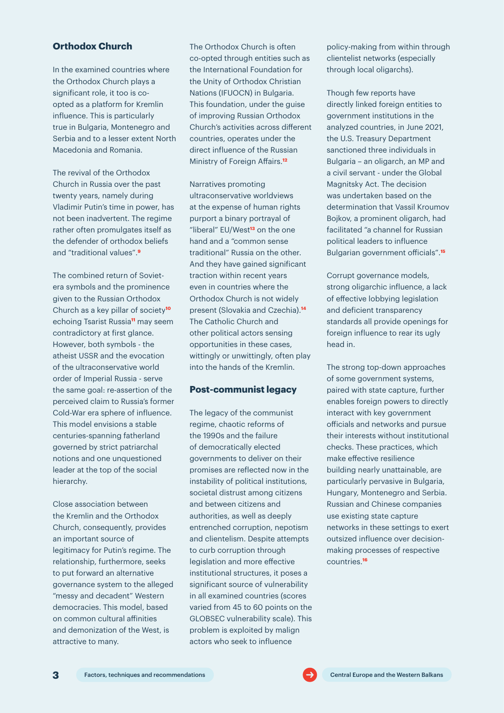#### **Orthodox Church**

In the examined countries where the Orthodox Church plays a significant role, it too is coopted as a platform for Kremlin influence. This is particularly true in Bulgaria, Montenegro and Serbia and to a lesser extent North Macedonia and Romania.

The revival of the Orthodox Church in Russia over the past twenty years, namely during Vladimir Putin's time in power, has not been inadvertent. The regime rather often promulgates itself as the defender of orthodox beliefs and "traditional values".**<sup>9</sup>**

The combined return of Sovietera symbols and the prominence given to the Russian Orthodox Church as a key pillar of society**<sup>10</sup>** echoing Tsarist Russia**11** may seem contradictory at first glance. However, both symbols - the atheist USSR and the evocation of the ultraconservative world order of Imperial Russia - serve the same goal: re-assertion of the perceived claim to Russia's former Cold-War era sphere of influence. This model envisions a stable centuries-spanning fatherland governed by strict patriarchal notions and one unquestioned leader at the top of the social hierarchy.

Close association between the Kremlin and the Orthodox Church, consequently, provides an important source of legitimacy for Putin's regime. The relationship, furthermore, seeks to put forward an alternative governance system to the alleged "messy and decadent" Western democracies. This model, based on common cultural affinities and demonization of the West, is attractive to many.

The Orthodox Church is often co-opted through entities such as the International Foundation for the Unity of Orthodox Christian Nations (IFUOCN) in Bulgaria. This foundation, under the guise of improving Russian Orthodox Church's activities across different countries, operates under the direct influence of the Russian Ministry of Foreign Affairs.**<sup>12</sup>**

Narratives promoting ultraconservative worldviews at the expense of human rights purport a binary portrayal of "liberal" EU/West**13** on the one hand and a "common sense traditional" Russia on the other. And they have gained significant traction within recent years even in countries where the Orthodox Church is not widely present (Slovakia and Czechia).**<sup>14</sup>** The Catholic Church and other political actors sensing opportunities in these cases, wittingly or unwittingly, often play into the hands of the Kremlin.

#### **Post-communist legacy**

The legacy of the communist regime, chaotic reforms of the 1990s and the failure of democratically elected governments to deliver on their promises are reflected now in the instability of political institutions, societal distrust among citizens and between citizens and authorities, as well as deeply entrenched corruption, nepotism and clientelism. Despite attempts to curb corruption through legislation and more effective institutional structures, it poses a significant source of vulnerability in all examined countries (scores varied from 45 to 60 points on the GLOBSEC vulnerability scale). This problem is exploited by malign actors who seek to influence

policy-making from within through clientelist networks (especially through local oligarchs).

Though few reports have directly linked foreign entities to government institutions in the analyzed countries, in June 2021, the U.S. Treasury Department sanctioned three individuals in Bulgaria – an oligarch, an MP and a civil servant - under the Global Magnitsky Act. The decision was undertaken based on the determination that Vassil Kroumov Bojkov, a prominent oligarch, had facilitated "a channel for Russian political leaders to influence Bulgarian government officials".**<sup>15</sup>**

Corrupt governance models, strong oligarchic influence, a lack of effective lobbying legislation and deficient transparency standards all provide openings for foreign influence to rear its ugly head in.

The strong top-down approaches of some government systems, paired with state capture, further enables foreign powers to directly interact with key government officials and networks and pursue their interests without institutional checks. These practices, which make effective resilience building nearly unattainable, are particularly pervasive in Bulgaria, Hungary, Montenegro and Serbia. Russian and Chinese companies use existing state capture networks in these settings to exert outsized influence over decisionmaking processes of respective countries.**16**

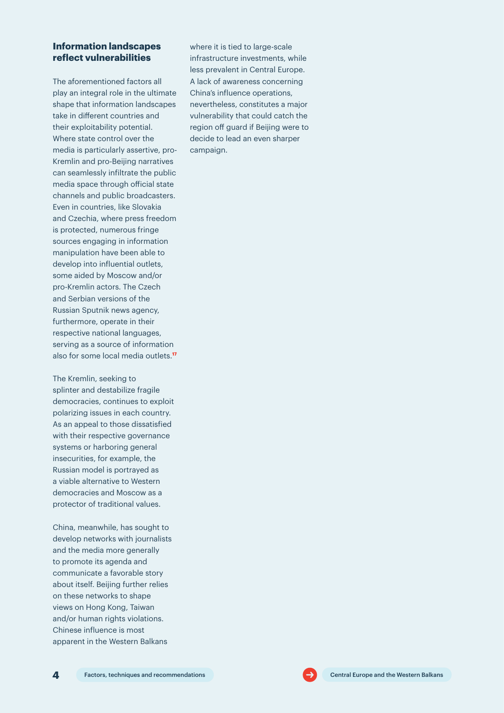#### **Information landscapes reflect vulnerabilities**

The aforementioned factors all play an integral role in the ultimate shape that information landscapes take in different countries and their exploitability potential. Where state control over the media is particularly assertive, pro-Kremlin and pro-Beijing narratives can seamlessly infiltrate the public media space through official state channels and public broadcasters. Even in countries, like Slovakia and Czechia, where press freedom is protected, numerous fringe sources engaging in information manipulation have been able to develop into influential outlets, some aided by Moscow and/or pro-Kremlin actors. The Czech and Serbian versions of the Russian Sputnik news agency, furthermore, operate in their respective national languages, serving as a source of information also for some local media outlets.**<sup>17</sup>**

The Kremlin, seeking to splinter and destabilize fragile democracies, continues to exploit polarizing issues in each country. As an appeal to those dissatisfied with their respective governance systems or harboring general insecurities, for example, the Russian model is portrayed as a viable alternative to Western democracies and Moscow as a protector of traditional values.

China, meanwhile, has sought to develop networks with journalists and the media more generally to promote its agenda and communicate a favorable story about itself. Beijing further relies on these networks to shape views on Hong Kong, Taiwan and/or human rights violations. Chinese influence is most apparent in the Western Balkans

where it is tied to large-scale infrastructure investments, while less prevalent in Central Europe. A lack of awareness concerning China's influence operations, nevertheless, constitutes a major vulnerability that could catch the region off guard if Beijing were to decide to lead an even sharper campaign.

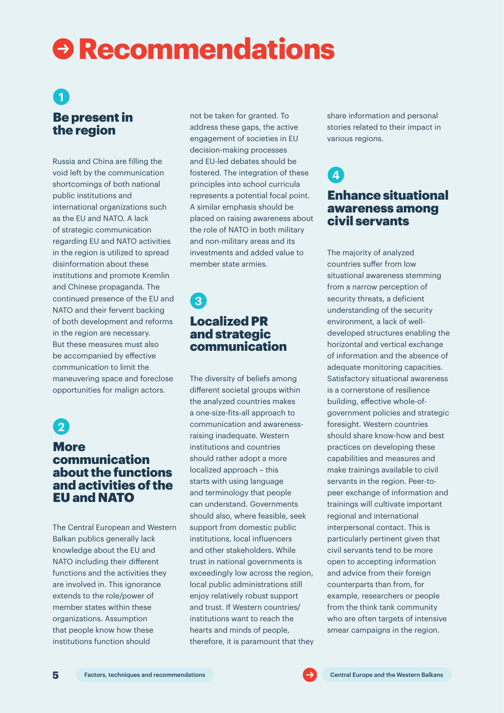## **Recommendations**

### Be present in the region **1**

Russia and China are filling the void left by the communication shortcomings of both national public institutions and international organizations such as the EU and NATO. A lack of strategic communication regarding EU and NATO activities in the region is utilized to spread disinformation about these institutions and promote Kremlin and Chinese propaganda. The continued presence of the EU and NATO and their fervent backing of both development and reforms in the region are necessary. But these measures must also be accompanied by effective communication to limit the maneuvering space and foreclose opportunities for malign actors.



#### **More** communication about the functions and activities of the EU and NATO

The Central European and Western Balkan publics generally lack knowledge about the EU and NATO including their different functions and the activities they are involved in. This ignorance extends to the role/power of member states within these organizations. Assumption that people know how these institutions function should

not be taken for granted. To address these gaps, the active engagement of societies in EU decision-making processes and EU-led debates should be fostered. The integration of these principles into school curricula represents a potential focal point. A similar emphasis should be placed on raising awareness about the role of NATO in both military and non-military areas and its investments and added value to member state armies.

### Localized PR and strategic communication **3**

The diversity of beliefs among different societal groups within the analyzed countries makes a one-size-fits-all approach to communication and awarenessraising inadequate. Western institutions and countries should rather adopt a more localized approach – this starts with using language and terminology that people can understand. Governments should also, where feasible, seek support from domestic public institutions, local influencers and other stakeholders. While trust in national governments is exceedingly low across the region, local public administrations still enjoy relatively robust support and trust. If Western countries/ institutions want to reach the hearts and minds of people, therefore, it is paramount that they

share information and personal stories related to their impact in various regions.

**4**

### Enhance situational awareness among civil servants

The majority of analyzed countries suffer from low situational awareness stemming from a narrow perception of security threats, a deficient understanding of the security environment, a lack of welldeveloped structures enabling the horizontal and vertical exchange of information and the absence of adequate monitoring capacities. Satisfactory situational awareness is a cornerstone of resilience building, effective whole-ofgovernment policies and strategic foresight. Western countries should share know-how and best practices on developing these capabilities and measures and make trainings available to civil servants in the region. Peer-topeer exchange of information and trainings will cultivate important regional and international interpersonal contact. This is particularly pertinent given that civil servants tend to be more open to accepting information and advice from their foreign counterparts than from, for example, researchers or people from the think tank community who are often targets of intensive smear campaigns in the region.

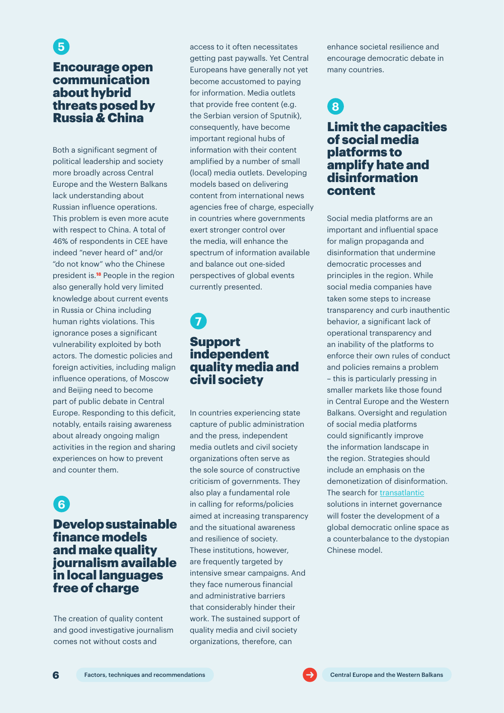### Encourage open communication about hybrid threats posed by Russia & China

**5**

Both a significant segment of political leadership and society more broadly across Central Europe and the Western Balkans lack understanding about Russian influence operations. This problem is even more acute with respect to China. A total of 46% of respondents in CEE have indeed "never heard of" and/or "do not know" who the Chinese president is.**18** People in the region also generally hold very limited knowledge about current events in Russia or China including human rights violations. This ignorance poses a significant vulnerability exploited by both actors. The domestic policies and foreign activities, including malign influence operations, of Moscow and Beijing need to become part of public debate in Central Europe. Responding to this deficit, notably, entails raising awareness about already ongoing malign activities in the region and sharing experiences on how to prevent and counter them.

### **6**

### Develop sustainable finance models and make quality journalism available in local languages free of charge

The creation of quality content and good investigative journalism comes not without costs and

access to it often necessitates getting past paywalls. Yet Central Europeans have generally not yet become accustomed to paying for information. Media outlets that provide free content (e.g. the Serbian version of Sputnik), consequently, have become important regional hubs of information with their content amplified by a number of small (local) media outlets. Developing models based on delivering content from international news agencies free of charge, especially in countries where governments exert stronger control over the media, will enhance the spectrum of information available and balance out one-sided perspectives of global events currently presented.

### Support independent quality media and civil society **7**

In countries experiencing state capture of public administration and the press, independent media outlets and civil society organizations often serve as the sole source of constructive criticism of governments. They also play a fundamental role in calling for reforms/policies aimed at increasing transparency and the situational awareness and resilience of society. These institutions, however, are frequently targeted by intensive smear campaigns. And they face numerous financial and administrative barriers that considerably hinder their work. The sustained support of quality media and civil society organizations, therefore, can

enhance societal resilience and encourage democratic debate in many countries.

## **8**

### Limit the capacities of social media platforms to amplify hate and disinformation content

Social media platforms are an important and influential space for malign propaganda and disinformation that undermine democratic processes and principles in the region. While social media companies have taken some steps to increase transparency and curb inauthentic behavior, a significant lack of operational transparency and an inability of the platforms to enforce their own rules of conduct and policies remains a problem – this is particularly pressing in smaller markets like those found in Central Europe and the Western Balkans. Oversight and regulation of social media platforms could significantly improve the information landscape in the region. Strategies should include an emphasis on the demonetization of disinformation. The search for [transatlantic](https://www.globsec.org/publications/10-transatlantic-principles-for-a-healthy-online-information-space-endorse-them-here/) solutions in internet governance will foster the development of a global democratic online space as a counterbalance to the dystopian Chinese model.

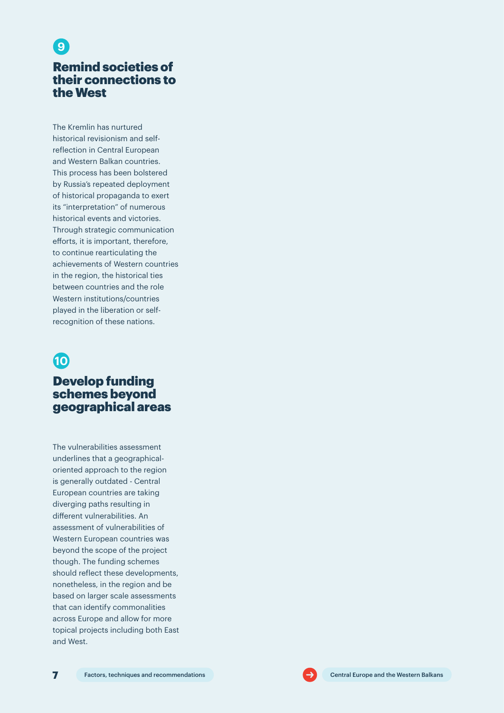### Remind societies of their connections to the West

**9**

The Kremlin has nurtured historical revisionism and selfreflection in Central European and Western Balkan countries. This process has been bolstered by Russia's repeated deployment of historical propaganda to exert its "interpretation" of numerous historical events and victories. Through strategic communication efforts, it is important, therefore, to continue rearticulating the achievements of Western countries in the region, the historical ties between countries and the role Western institutions/countries played in the liberation or selfrecognition of these nations.

### **10**

### Develop funding schemes beyond geographical areas

The vulnerabilities assessment underlines that a geographicaloriented approach to the region is generally outdated - Central European countries are taking diverging paths resulting in different vulnerabilities. An assessment of vulnerabilities of Western European countries was beyond the scope of the project though. The funding schemes should reflect these developments, nonetheless, in the region and be based on larger scale assessments that can identify commonalities across Europe and allow for more topical projects including both East and West.

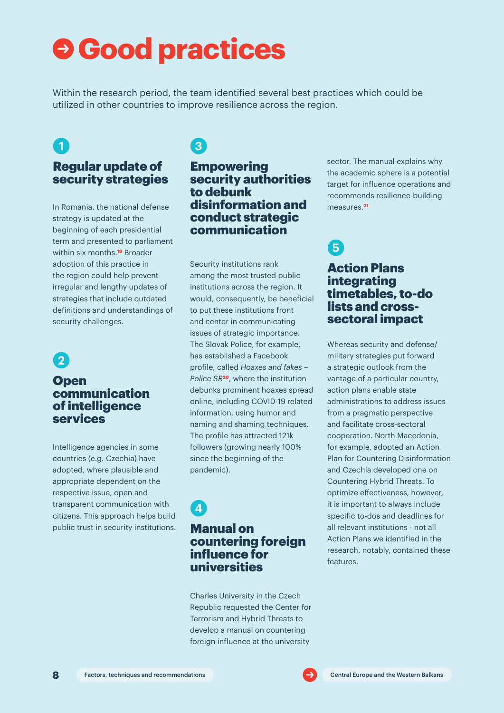## **Good practices**

Within the research period, the team identified several best practices which could be utilized in other countries to improve resilience across the region.

### **1**

### Regular update of security strategies

In Romania, the national defense strategy is updated at the beginning of each presidential term and presented to parliament within six months.**19** Broader adoption of this practice in the region could help prevent irregular and lengthy updates of strategies that include outdated definitions and understandings of security challenges.

### **2**

### **Open** communication of intelligence services

Intelligence agencies in some countries (e.g. Czechia) have adopted, where plausible and appropriate dependent on the respective issue, open and transparent communication with citizens. This approach helps build public trust in security institutions.

### **3**

### **Empowering** security authorities to debunk disinformation and conduct strategic communication

Security institutions rank among the most trusted public institutions across the region. It would, consequently, be beneficial to put these institutions front and center in communicating issues of strategic importance. The Slovak Police, for example, has established a Facebook profile, called *Hoaxes and fakes – Police SR***20**, where the institution debunks prominent hoaxes spread online, including COVID-19 related information, using humor and naming and shaming techniques. The profile has attracted 121k followers (growing nearly 100% since the beginning of the pandemic).

### **4**

### Manual on countering foreign influence for universities

Charles University in the Czech Republic requested the Center for Terrorism and Hybrid Threats to develop a manual on countering foreign influence at the university

sector. The manual explains why the academic sphere is a potential target for influence operations and recommends resilience-building measures.**<sup>21</sup>**

### **5**

### Action Plans integrating timetables, to-do lists and crosssectoral impact

Whereas security and defense/ military strategies put forward a strategic outlook from the vantage of a particular country, action plans enable state administrations to address issues from a pragmatic perspective and facilitate cross-sectoral cooperation. North Macedonia, for example, adopted an Action Plan for Countering Disinformation and Czechia developed one on Countering Hybrid Threats. To optimize effectiveness, however, it is important to always include specific to-dos and deadlines for all relevant institutions - not all Action Plans we identified in the research, notably, contained these features.

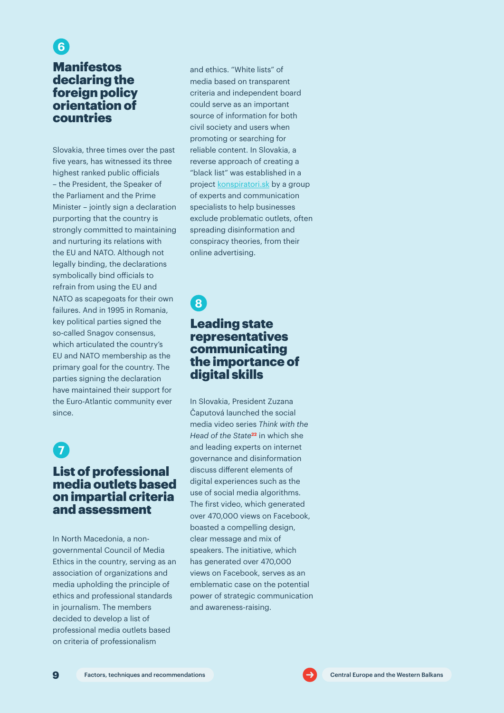### Manifestos declaring the foreign policy orientation of countries **6**

Slovakia, three times over the past five years, has witnessed its three highest ranked public officials – the President, the Speaker of the Parliament and the Prime Minister – jointly sign a declaration purporting that the country is strongly committed to maintaining and nurturing its relations with the EU and NATO. Although not legally binding, the declarations symbolically bind officials to refrain from using the EU and NATO as scapegoats for their own failures. And in 1995 in Romania, key political parties signed the so-called Snagov consensus, which articulated the country's EU and NATO membership as the primary goal for the country. The parties signing the declaration have maintained their support for the Euro-Atlantic community ever since.

### **7**

### List of professional media outlets based on impartial criteria and assessment

In North Macedonia, a nongovernmental Council of Media Ethics in the country, serving as an association of organizations and media upholding the principle of ethics and professional standards in journalism. The members decided to develop a list of professional media outlets based on criteria of professionalism

and ethics. "White lists" of media based on transparent criteria and independent board could serve as an important source of information for both civil society and users when promoting or searching for reliable content. In Slovakia, a reverse approach of creating a "black list" was established in a project [konspiratori.sk](https://konspiratori.sk/en) by a group of experts and communication specialists to help businesses exclude problematic outlets, often spreading disinformation and conspiracy theories, from their online advertising.

### **8**

### Leading state representatives communicating the importance of digital skills

In Slovakia, President Zuzana Čaputová launched the social media video series *Think with the Head of the State***22** in which she and leading experts on internet governance and disinformation discuss different elements of digital experiences such as the use of social media algorithms. The first video, which generated over 470,000 views on Facebook, boasted a compelling design, clear message and mix of speakers. The initiative, which has generated over 470,000 views on Facebook, serves as an emblematic case on the potential power of strategic communication and awareness-raising.